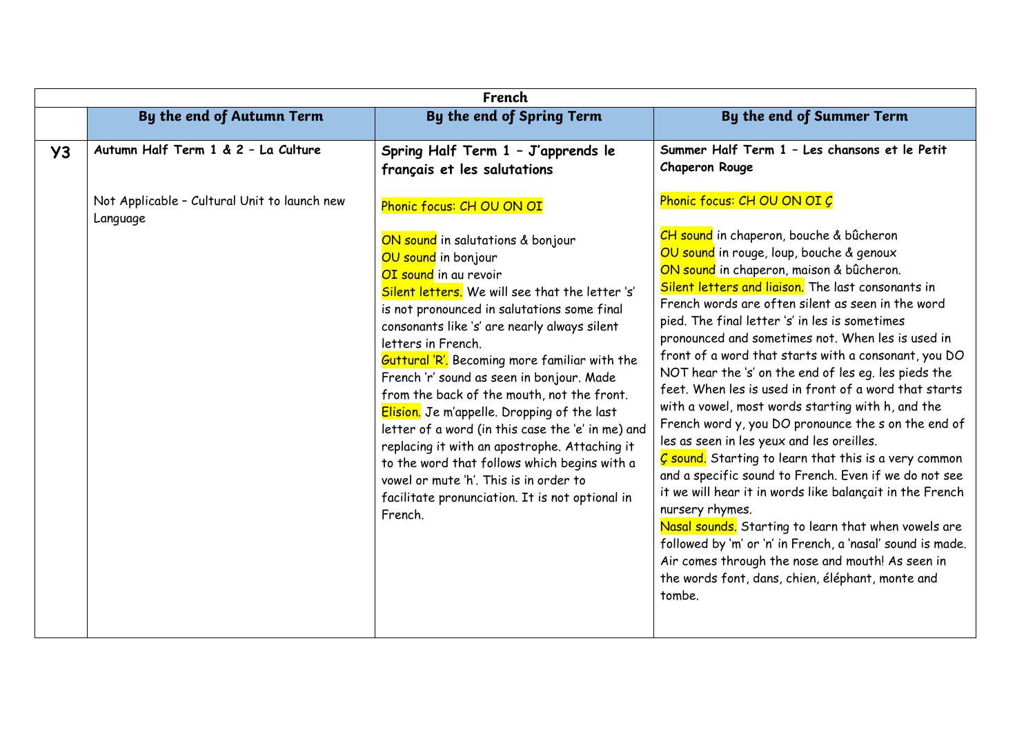|           | French                                                   |                                                                                                                                                                                                                                                                                                                                                                                                                                                                                                                                                                                                                                                                                                                                                        |                                                                                                                                                                                                                                                                                                                                                                                                                                                                                                                                                                                                                                                                                                                                                                                                                                                                                                                                                                                                                                                                                                                                                             |  |
|-----------|----------------------------------------------------------|--------------------------------------------------------------------------------------------------------------------------------------------------------------------------------------------------------------------------------------------------------------------------------------------------------------------------------------------------------------------------------------------------------------------------------------------------------------------------------------------------------------------------------------------------------------------------------------------------------------------------------------------------------------------------------------------------------------------------------------------------------|-------------------------------------------------------------------------------------------------------------------------------------------------------------------------------------------------------------------------------------------------------------------------------------------------------------------------------------------------------------------------------------------------------------------------------------------------------------------------------------------------------------------------------------------------------------------------------------------------------------------------------------------------------------------------------------------------------------------------------------------------------------------------------------------------------------------------------------------------------------------------------------------------------------------------------------------------------------------------------------------------------------------------------------------------------------------------------------------------------------------------------------------------------------|--|
|           | By the end of Autumn Term                                | By the end of Spring Term                                                                                                                                                                                                                                                                                                                                                                                                                                                                                                                                                                                                                                                                                                                              | By the end of Summer Term                                                                                                                                                                                                                                                                                                                                                                                                                                                                                                                                                                                                                                                                                                                                                                                                                                                                                                                                                                                                                                                                                                                                   |  |
| <b>Y3</b> | Autumn Half Term 1 & 2 - La Culture                      | Spring Half Term 1 - J'apprends le<br>français et les salutations                                                                                                                                                                                                                                                                                                                                                                                                                                                                                                                                                                                                                                                                                      | Summer Half Term 1 - Les chansons et le Petit<br>Chaperon Rouge                                                                                                                                                                                                                                                                                                                                                                                                                                                                                                                                                                                                                                                                                                                                                                                                                                                                                                                                                                                                                                                                                             |  |
|           | Not Applicable - Cultural Unit to launch new<br>Language | Phonic focus: CH OU ON OI<br>ON sound in salutations & bonjour<br>OU sound in bonjour<br>OI sound in au revoir<br>Silent letters. We will see that the letter 's'<br>is not pronounced in salutations some final<br>consonants like 's' are nearly always silent<br>letters in French.<br><b>Guttural 'R'.</b> Becoming more familiar with the<br>French 'r' sound as seen in bonjour. Made<br>from the back of the mouth, not the front.<br>Elision. Je m'appelle. Dropping of the last<br>letter of a word (in this case the 'e' in me) and<br>replacing it with an apostrophe. Attaching it<br>to the word that follows which begins with a<br>vowel or mute 'h'. This is in order to<br>facilitate pronunciation. It is not optional in<br>French. | Phonic focus: CH OU ON OI C<br>CH sound in chaperon, bouche & bûcheron<br>OU sound in rouge, loup, bouche & genoux<br>ON sound in chaperon, maison & bûcheron.<br>Silent letters and liaison. The last consonants in<br>French words are often silent as seen in the word<br>pied. The final letter 's' in les is sometimes<br>pronounced and sometimes not. When les is used in<br>front of a word that starts with a consonant, you DO<br>NOT hear the 's' on the end of les eq. les pieds the<br>feet. When les is used in front of a word that starts<br>with a vowel, most words starting with h, and the<br>French word y, you DO pronounce the s on the end of<br>les as seen in les yeux and les oreilles.<br>C sound. Starting to learn that this is a very common<br>and a specific sound to French. Even if we do not see<br>it we will hear it in words like balançait in the French<br>nursery rhymes.<br>Nasal sounds. Starting to learn that when vowels are<br>followed by 'm' or 'n' in French, a 'nasal' sound is made.<br>Air comes through the nose and mouth! As seen in<br>the words font, dans, chien, éléphant, monte and<br>tombe. |  |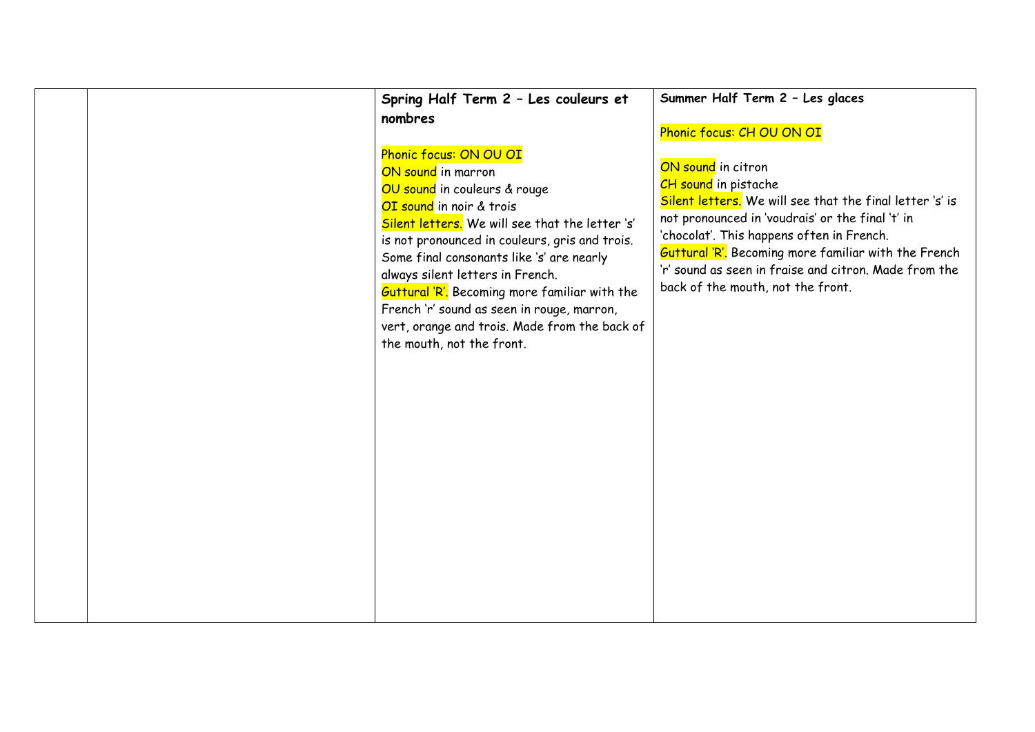|  | Spring Half Term 2 - Les couleurs et<br>nombres                                                                                                                                                                                                                                                                                                                                                                                                                             | Summer Half Term 2 - Les glaces<br>Phonic focus: CH OU ON OI                                                                                                                                                                                                                                                                                                         |
|--|-----------------------------------------------------------------------------------------------------------------------------------------------------------------------------------------------------------------------------------------------------------------------------------------------------------------------------------------------------------------------------------------------------------------------------------------------------------------------------|----------------------------------------------------------------------------------------------------------------------------------------------------------------------------------------------------------------------------------------------------------------------------------------------------------------------------------------------------------------------|
|  | Phonic focus: ON OU OI<br>ON sound in marron<br>OU sound in couleurs & rouge<br>OI sound in noir & trois<br>Silent letters. We will see that the letter 's'<br>is not pronounced in couleurs, gris and trois.<br>Some final consonants like 's' are nearly<br>always silent letters in French.<br>Guttural 'R'. Becoming more familiar with the<br>French 'r' sound as seen in rouge, marron,<br>vert, orange and trois. Made from the back of<br>the mouth, not the front. | ON sound in citron<br>CH sound in pistache<br>Silent letters. We will see that the final letter 's' is<br>not pronounced in 'voudrais' or the final 't' in<br>'chocolat'. This happens often in French.<br><b>Guttural 'R'.</b> Becoming more familiar with the French<br>'r' sound as seen in fraise and citron. Made from the<br>back of the mouth, not the front. |
|  |                                                                                                                                                                                                                                                                                                                                                                                                                                                                             |                                                                                                                                                                                                                                                                                                                                                                      |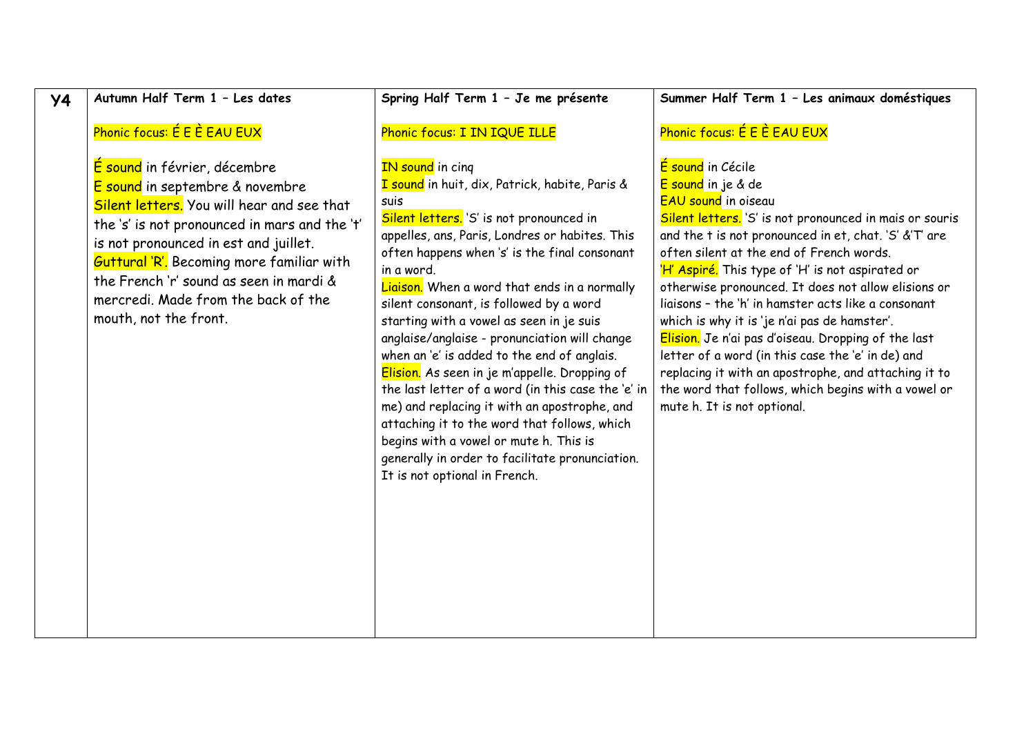# **Y4 Autumn Half Term 1 – Les dates**

### Phonic focus: É E È EAU EUX

É sound in février, décembre E sound in septembre & novembre Silent letters. You will hear and see that the 's' is not pronounced in mars and the 't' is not pronounced in est and juillet. Guttural 'R'. Becoming more familiar with the French 'r' sound as seen in mardi & mercredi. Made from the back of the mouth, not the front.

#### **Spring Half Term 1 – Je me présente**

### Phonic focus: I IN IQUE ILLE

## IN sound in cing

I sound in huit, dix, Patrick, habite, Paris & suis

Silent letters. 'S' is not pronounced in appelles, ans, Paris, Londres or habites. This often happens when 's' is the final consonant in a word.

Liaison. When a word that ends in a normally silent consonant, is followed by a word starting with a vowel as seen in je suis anglaise/anglaise - pronunciation will change when an 'e' is added to the end of anglais. Elision. As seen in je m'appelle. Dropping of the last letter of a word (in this case the 'e' in me) and replacing it with an apostrophe, and attaching it to the word that follows, which begins with a vowel or mute h. This is generally in order to facilitate pronunciation. It is not optional in French.

**Summer Half Term 1 – Les animaux doméstiques**

### Phonic focus: É E È EAU EUX

É sound in Cécile E sound in je & de EAU sound in oiseau

Silent letters. 'S' is not pronounced in mais or souris and the t is not pronounced in et, chat. 'S' &'T' are often silent at the end of French words. 'H' Aspiré. This type of 'H' is not aspirated or otherwise pronounced. It does not allow elisions or liaisons – the 'h' in hamster acts like a consonant which is why it is 'je n'ai pas de hamster'. Elision. Je n'ai pas d'oiseau. Dropping of the last letter of a word (in this case the 'e' in de) and replacing it with an apostrophe, and attaching it to

the word that follows, which begins with a vowel or mute h. It is not optional.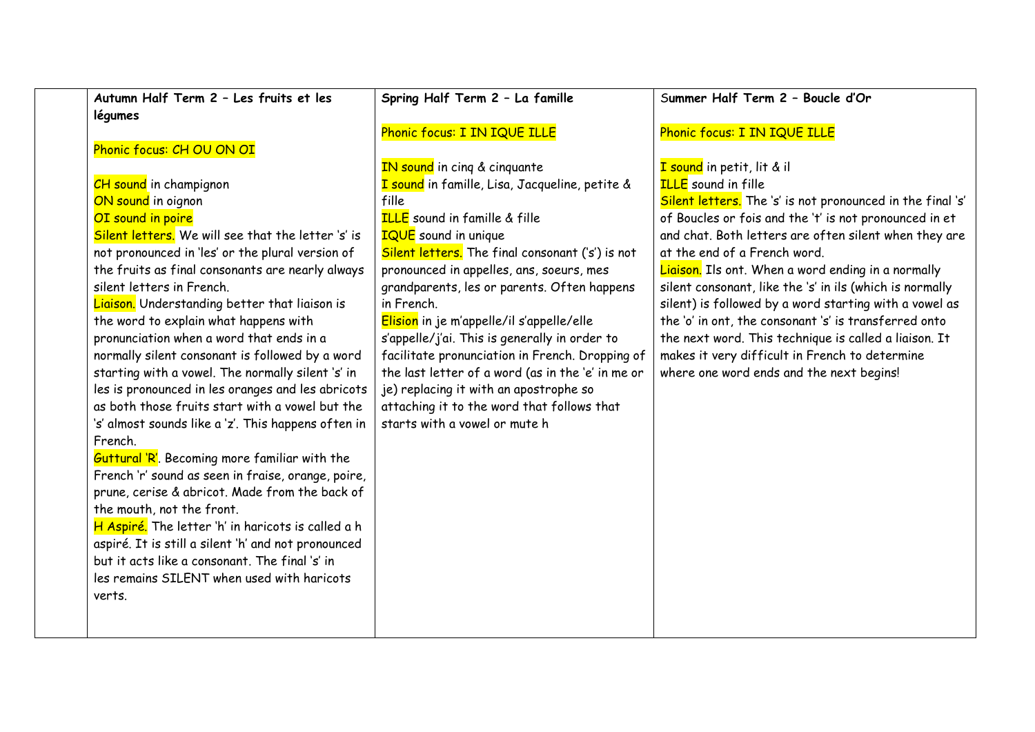| Autumn Half Term 2 - Les fruits et les               | Spring Half Term 2 - La famille                   | Summer Half Term 2 - Boucle d'Or                           |
|------------------------------------------------------|---------------------------------------------------|------------------------------------------------------------|
| légumes                                              |                                                   |                                                            |
|                                                      | Phonic focus: I IN IQUE ILLE                      | Phonic focus: I IN IQUE ILLE                               |
| Phonic focus: CH OU ON OI                            |                                                   |                                                            |
|                                                      | IN sound in cing & cinquante                      | I sound in petit, lit & il                                 |
| <b>CH</b> sound in champignon                        | I sound in famille, Lisa, Jacqueline, petite &    | <b>ILLE</b> sound in fille                                 |
| ON sound in oignon                                   | fille                                             | Silent letters. The 's' is not pronounced in the final 's' |
| OI sound in poire                                    | <b>ILLE</b> sound in famille & fille              | of Boucles or fois and the 't' is not pronounced in et     |
| Silent letters. We will see that the letter 's' is   | <b>IQUE</b> sound in unique                       | and chat. Both letters are often silent when they are      |
| not pronounced in 'les' or the plural version of     | Silent letters. The final consonant ('s') is not  | at the end of a French word.                               |
| the fruits as final consonants are nearly always     | pronounced in appelles, ans, soeurs, mes          | Liaison. Ils ont. When a word ending in a normally         |
| silent letters in French.                            | grandparents, les or parents. Often happens       | silent consonant, like the 's' in ils (which is normally   |
| Liaison. Understanding better that liaison is        | in French.                                        | silent) is followed by a word starting with a vowel as     |
| the word to explain what happens with                | Elision in je m'appelle/il s'appelle/elle         | the 'o' in ont, the consonant 's' is transferred onto      |
| pronunciation when a word that ends in a             | s'appelle/j'ai. This is generally in order to     | the next word. This technique is called a liaison. It      |
| normally silent consonant is followed by a word      | facilitate pronunciation in French. Dropping of   | makes it very difficult in French to determine             |
| starting with a vowel. The normally silent 's' in    | the last letter of a word (as in the 'e' in me or | where one word ends and the next begins!                   |
| les is pronounced in les oranges and les abricots    | je) replacing it with an apostrophe so            |                                                            |
| as both those fruits start with a vowel but the      | attaching it to the word that follows that        |                                                            |
| 's' almost sounds like a 'z'. This happens often in  | starts with a vowel or mute h                     |                                                            |
| French.                                              |                                                   |                                                            |
| <b>Guttural 'R'.</b> Becoming more familiar with the |                                                   |                                                            |
| French 'r' sound as seen in fraise, orange, poire,   |                                                   |                                                            |
| prune, cerise & abricot. Made from the back of       |                                                   |                                                            |
| the mouth, not the front.                            |                                                   |                                                            |
| H Aspiré. The letter 'h' in haricots is called a h   |                                                   |                                                            |
| aspiré. It is still a silent 'h' and not pronounced  |                                                   |                                                            |
| but it acts like a consonant. The final 's' in       |                                                   |                                                            |
| les remains SILENT when used with haricots           |                                                   |                                                            |
| verts.                                               |                                                   |                                                            |
|                                                      |                                                   |                                                            |
|                                                      |                                                   |                                                            |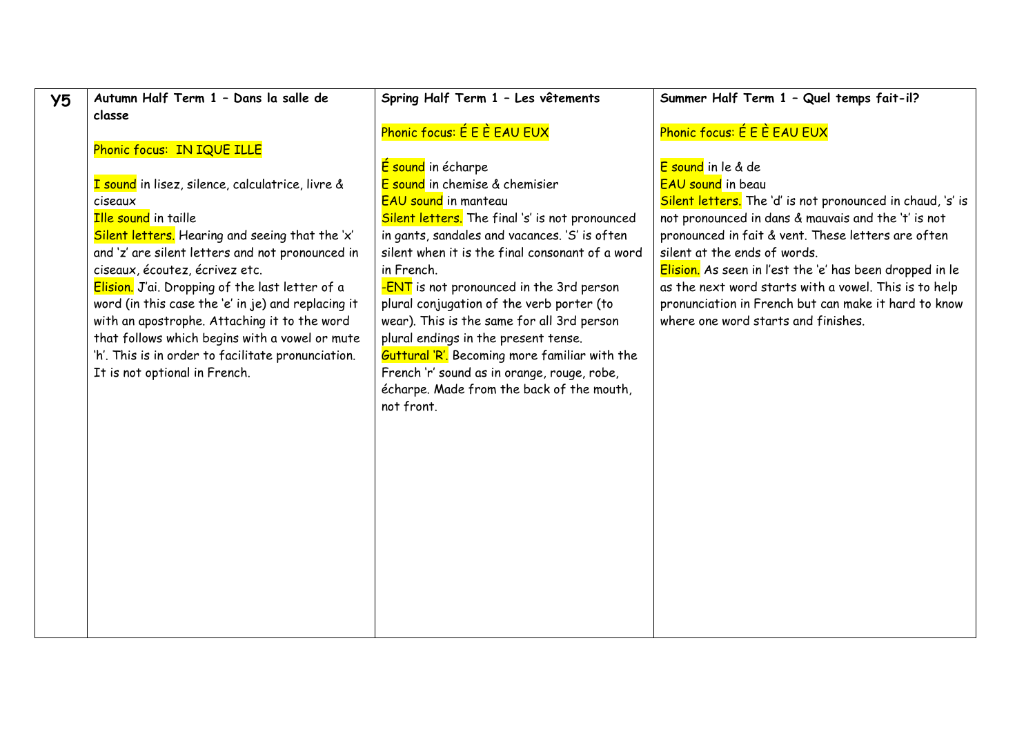| Y <sub>5</sub> | Autumn Half Term 1 - Dans la salle de              | Spring Half Term 1 - Les vêtements                   | Summer Half Term 1 - Quel temps fait-il?                   |
|----------------|----------------------------------------------------|------------------------------------------------------|------------------------------------------------------------|
|                | classe                                             |                                                      |                                                            |
|                |                                                    | Phonic focus: É E È EAU EUX                          | Phonic focus: É E È EAU EUX                                |
|                | Phonic focus: IN IQUE ILLE                         |                                                      |                                                            |
|                |                                                    | E sound in écharpe                                   | E sound in le & de                                         |
|                | I sound in lisez, silence, calculatrice, livre &   | E sound in chemise & chemisier                       | <b>EAU</b> sound in beau                                   |
|                | ciseaux                                            | <b>EAU sound in manteau</b>                          | Silent letters. The 'd' is not pronounced in chaud, 's' is |
|                | <b>Ille sound</b> in taille                        | Silent letters. The final 's' is not pronounced      | not pronounced in dans & mauvais and the 't' is not        |
|                | Silent letters. Hearing and seeing that the 'x'    | in gants, sandales and vacances. 'S' is often        | pronounced in fait & vent. These letters are often         |
|                | and 'z' are silent letters and not pronounced in   | silent when it is the final consonant of a word      | silent at the ends of words.                               |
|                | ciseaux, écoutez, écrivez etc.                     | in French.                                           | Elision. As seen in l'est the 'e' has been dropped in le   |
|                | Elision. J'ai. Dropping of the last letter of a    | -ENT is not pronounced in the 3rd person             | as the next word starts with a vowel. This is to help      |
|                | word (in this case the 'e' in je) and replacing it | plural conjugation of the verb porter (to            | pronunciation in French but can make it hard to know       |
|                | with an apostrophe. Attaching it to the word       | wear). This is the same for all 3rd person           | where one word starts and finishes.                        |
|                | that follows which begins with a vowel or mute     | plural endings in the present tense.                 |                                                            |
|                | 'h'. This is in order to facilitate pronunciation. | <b>Guttural 'R'.</b> Becoming more familiar with the |                                                            |
|                | It is not optional in French.                      | French 'r' sound as in orange, rouge, robe,          |                                                            |
|                |                                                    | écharpe. Made from the back of the mouth,            |                                                            |
|                |                                                    | not front.                                           |                                                            |
|                |                                                    |                                                      |                                                            |
|                |                                                    |                                                      |                                                            |
|                |                                                    |                                                      |                                                            |
|                |                                                    |                                                      |                                                            |
|                |                                                    |                                                      |                                                            |
|                |                                                    |                                                      |                                                            |
|                |                                                    |                                                      |                                                            |
|                |                                                    |                                                      |                                                            |
|                |                                                    |                                                      |                                                            |
|                |                                                    |                                                      |                                                            |
|                |                                                    |                                                      |                                                            |
|                |                                                    |                                                      |                                                            |
|                |                                                    |                                                      |                                                            |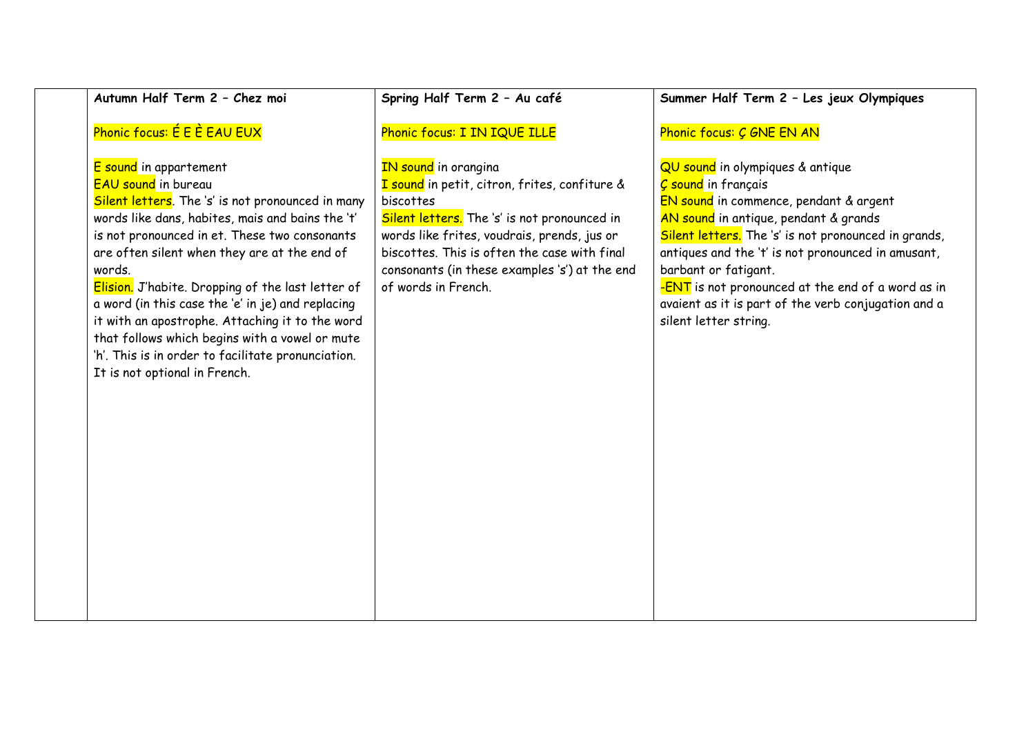| Autumn Half Term 2 - Chez moi                                                                                                                                                                                                                                                                                                                                                                                                                                                                                                                                                  | Spring Half Term 2 - Au café                                                                                                                                                                                                                                                                                     | Summer Half Term 2 - Les jeux Olympiques                                                                                                                                                                                                                                                                                                                                                                                            |
|--------------------------------------------------------------------------------------------------------------------------------------------------------------------------------------------------------------------------------------------------------------------------------------------------------------------------------------------------------------------------------------------------------------------------------------------------------------------------------------------------------------------------------------------------------------------------------|------------------------------------------------------------------------------------------------------------------------------------------------------------------------------------------------------------------------------------------------------------------------------------------------------------------|-------------------------------------------------------------------------------------------------------------------------------------------------------------------------------------------------------------------------------------------------------------------------------------------------------------------------------------------------------------------------------------------------------------------------------------|
| Phonic focus: É E È EAU EUX                                                                                                                                                                                                                                                                                                                                                                                                                                                                                                                                                    | Phonic focus: I IN IQUE ILLE                                                                                                                                                                                                                                                                                     | Phonic focus: C GNE EN AN                                                                                                                                                                                                                                                                                                                                                                                                           |
| E sound in appartement<br><b>EAU sound</b> in bureau<br>Silent letters. The 's' is not pronounced in many<br>words like dans, habites, mais and bains the 't'<br>is not pronounced in et. These two consonants<br>are often silent when they are at the end of<br>words.<br>Elision. J'habite. Dropping of the last letter of<br>a word (in this case the 'e' in je) and replacing<br>it with an apostrophe. Attaching it to the word<br>that follows which begins with a vowel or mute<br>'h'. This is in order to facilitate pronunciation.<br>It is not optional in French. | <b>IN sound</b> in orangina<br>I sound in petit, citron, frites, confiture &<br>biscottes<br>Silent letters. The 's' is not pronounced in<br>words like frites, voudrais, prends, jus or<br>biscottes. This is often the case with final<br>consonants (in these examples 's') at the end<br>of words in French. | QU sound in olympiques & antique<br><b><i>Ç</i></b> sound in français<br>EN sound in commence, pendant & argent<br>AN sound in antique, pendant & grands<br>Silent letters. The 's' is not pronounced in grands,<br>antiques and the 't' is not pronounced in amusant,<br>barbant or fatigant.<br>-ENT is not pronounced at the end of a word as in<br>avaient as it is part of the verb conjugation and a<br>silent letter string. |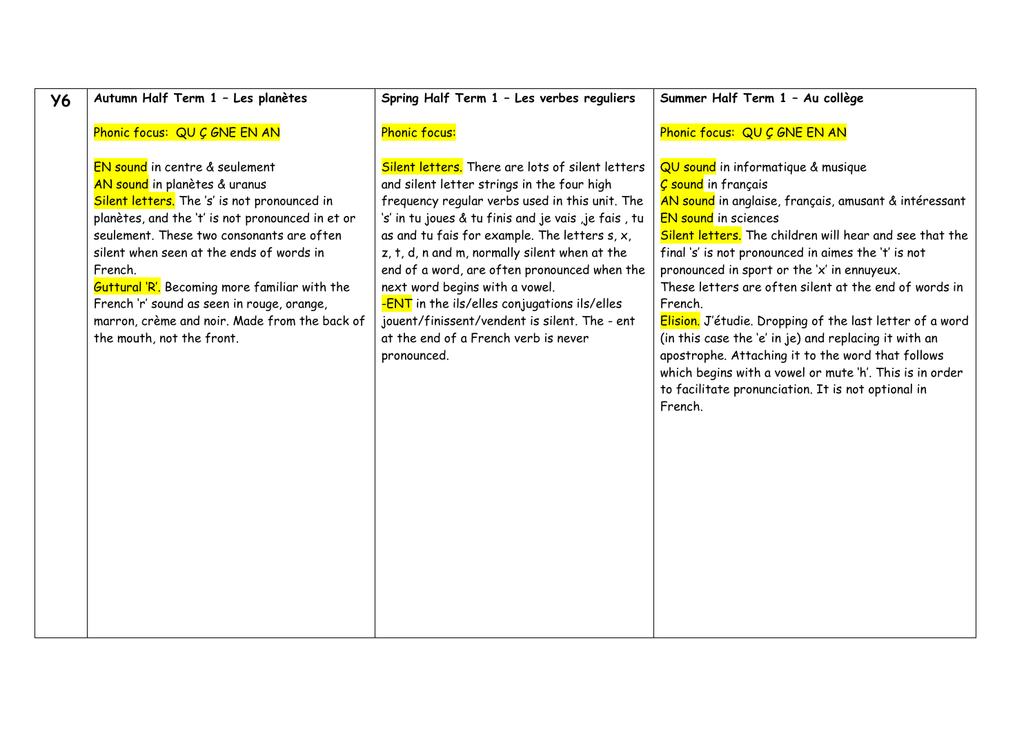| <b>Y6</b> | Autumn Half Term 1 - Les planètes                                                                                                                                                                                                                                                                                                                                                                                                                           | Spring Half Term 1 - Les verbes reguliers                                                                                                                                                                                                                                                                                                                                                                                                                                                                                                               | Summer Half Term 1 - Au collège                                                                                                                                                                                                                                                                                                                                                                                                                                                                                                                                                                                                                                                              |
|-----------|-------------------------------------------------------------------------------------------------------------------------------------------------------------------------------------------------------------------------------------------------------------------------------------------------------------------------------------------------------------------------------------------------------------------------------------------------------------|---------------------------------------------------------------------------------------------------------------------------------------------------------------------------------------------------------------------------------------------------------------------------------------------------------------------------------------------------------------------------------------------------------------------------------------------------------------------------------------------------------------------------------------------------------|----------------------------------------------------------------------------------------------------------------------------------------------------------------------------------------------------------------------------------------------------------------------------------------------------------------------------------------------------------------------------------------------------------------------------------------------------------------------------------------------------------------------------------------------------------------------------------------------------------------------------------------------------------------------------------------------|
|           | Phonic focus: QU C GNE EN AN                                                                                                                                                                                                                                                                                                                                                                                                                                | <b>Phonic focus:</b>                                                                                                                                                                                                                                                                                                                                                                                                                                                                                                                                    | Phonic focus: QU C GNE EN AN                                                                                                                                                                                                                                                                                                                                                                                                                                                                                                                                                                                                                                                                 |
|           | EN sound in centre & seulement<br>AN sound in planètes & uranus<br>Silent letters. The 's' is not pronounced in<br>planètes, and the 't' is not pronounced in et or<br>seulement. These two consonants are often<br>silent when seen at the ends of words in<br>French.<br><b>Guttural 'R'.</b> Becoming more familiar with the<br>French 'r' sound as seen in rouge, orange,<br>marron, crème and noir. Made from the back of<br>the mouth, not the front. | Silent letters. There are lots of silent letters<br>and silent letter strings in the four high<br>frequency regular verbs used in this unit. The<br>'s' in tu joues & tu finis and je vais ,je fais , tu<br>as and tu fais for example. The letters $s, x$ ,<br>z, t, d, n and m, normally silent when at the<br>end of a word, are often pronounced when the<br>next word begins with a vowel.<br>-ENT in the ils/elles conjugations ils/elles<br>jouent/finissent/vendent is silent. The - ent<br>at the end of a French verb is never<br>pronounced. | QU sound in informatique & musique<br>C sound in français<br>AN sound in anglaise, français, amusant & intéressant<br><b>EN sound</b> in sciences<br>Silent letters. The children will hear and see that the<br>final 's' is not pronounced in aimes the 't' is not<br>pronounced in sport or the 'x' in ennuyeux.<br>These letters are often silent at the end of words in<br>French.<br>Elision. J'étudie. Dropping of the last letter of a word<br>(in this case the 'e' in je) and replacing it with an<br>apostrophe. Attaching it to the word that follows<br>which begins with a vowel or mute 'h'. This is in order<br>to facilitate pronunciation. It is not optional in<br>French. |